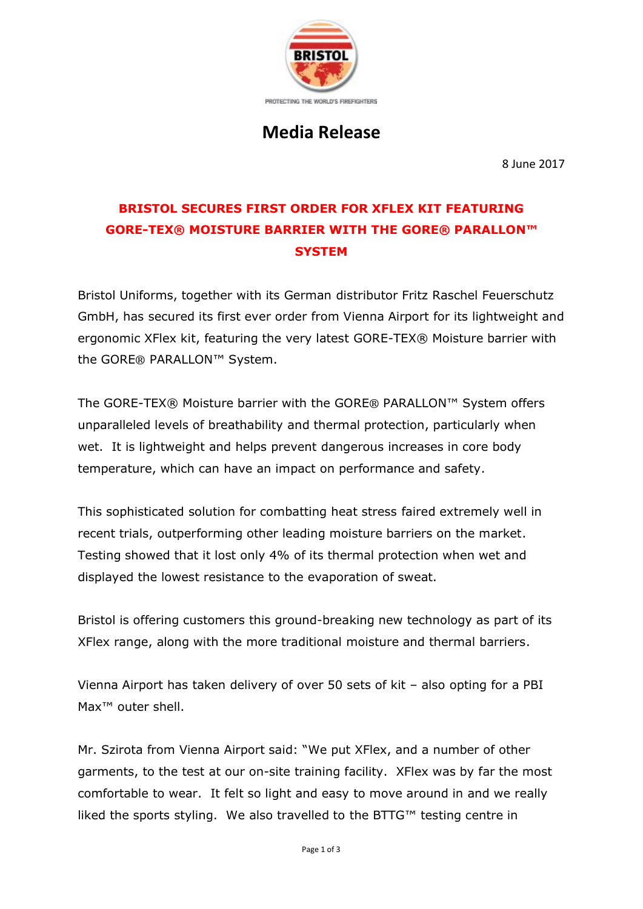

# **Media Release**

8 June 2017

## **BRISTOL SECURES FIRST ORDER FOR XFLEX KIT FEATURING GORE-TEX® MOISTURE BARRIER WITH THE GORE® PARALLON™ SYSTEM**

Bristol Uniforms, together with its German distributor Fritz Raschel Feuerschutz GmbH, has secured its first ever order from Vienna Airport for its lightweight and ergonomic XFlex kit, featuring the very latest GORE-TEX® Moisture barrier with the GORE® PARALLON™ System.

The GORE-TEX® Moisture barrier with the GORE® PARALLON™ System offers unparalleled levels of breathability and thermal protection, particularly when wet. It is lightweight and helps prevent dangerous increases in core body temperature, which can have an impact on performance and safety.

This sophisticated solution for combatting heat stress faired extremely well in recent trials, outperforming other leading moisture barriers on the market. Testing showed that it lost only 4% of its thermal protection when wet and displayed the lowest resistance to the evaporation of sweat.

Bristol is offering customers this ground-breaking new technology as part of its XFlex range, along with the more traditional moisture and thermal barriers.

Vienna Airport has taken delivery of over 50 sets of kit – also opting for a PBI Max<sup>™</sup> outer shell.

Mr. Szirota from Vienna Airport said: "We put XFlex, and a number of other garments, to the test at our on-site training facility. XFlex was by far the most comfortable to wear. It felt so light and easy to move around in and we really liked the sports styling. We also travelled to the BTTG™ testing centre in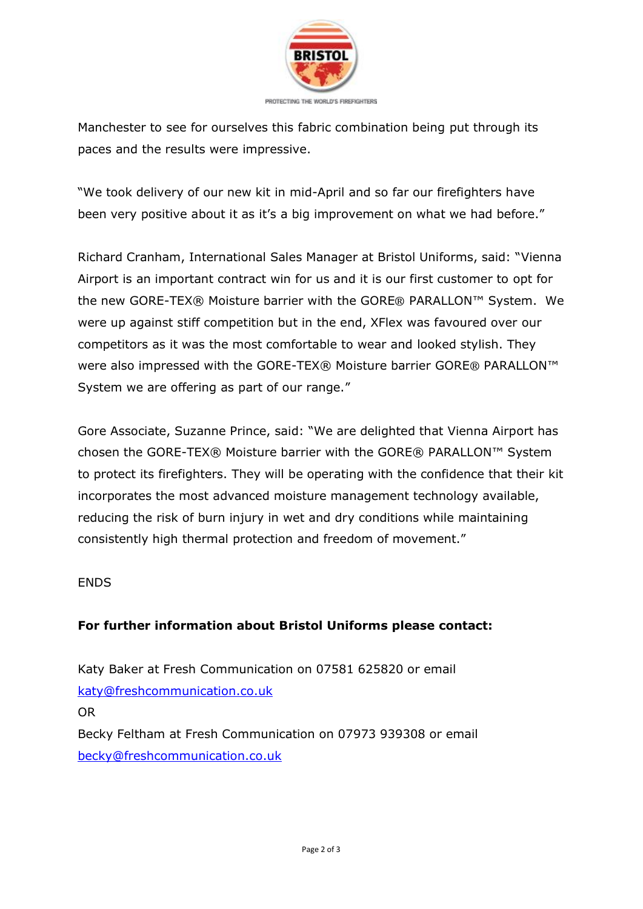

Manchester to see for ourselves this fabric combination being put through its paces and the results were impressive.

"We took delivery of our new kit in mid-April and so far our firefighters have been very positive about it as it's a big improvement on what we had before."

Richard Cranham, International Sales Manager at Bristol Uniforms, said: "Vienna Airport is an important contract win for us and it is our first customer to opt for the new GORE-TEX® Moisture barrier with the GORE® PARALLON™ System. We were up against stiff competition but in the end, XFlex was favoured over our competitors as it was the most comfortable to wear and looked stylish. They were also impressed with the GORE-TEX® Moisture barrier GORE® PARALLON<sup>™</sup> System we are offering as part of our range."

Gore Associate, Suzanne Prince, said: "We are delighted that Vienna Airport has chosen the GORE-TEX® Moisture barrier with the GORE® PARALLON™ System to protect its firefighters. They will be operating with the confidence that their kit incorporates the most advanced moisture management technology available, reducing the risk of burn injury in wet and dry conditions while maintaining consistently high thermal protection and freedom of movement."

#### ENDS

#### **For further information about Bristol Uniforms please contact:**

Katy Baker at Fresh Communication on 07581 625820 or email [katy@freshcommunication.co.uk](mailto:katy@freshcommunication.co.uk) OR Becky Feltham at Fresh Communication on 07973 939308 or email [becky@freshcommunication.co.uk](mailto:becky@freshcommunication.co.uk)